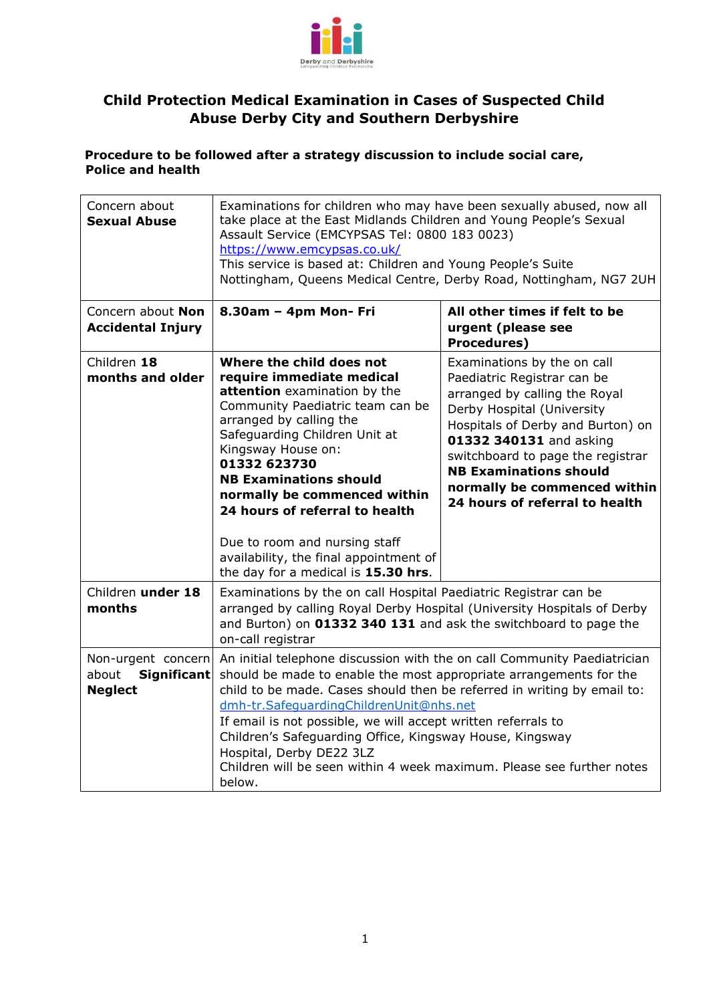

## **Child Protection Medical Examination in Cases of Suspected Child Abuse Derby City and Southern Derbyshire**

## **Procedure to be followed after a strategy discussion to include social care, Police and health**

| Concern about<br><b>Sexual Abuse</b>                         | Examinations for children who may have been sexually abused, now all<br>take place at the East Midlands Children and Young People's Sexual<br>Assault Service (EMCYPSAS Tel: 0800 183 0023)<br>https://www.emcypsas.co.uk/<br>This service is based at: Children and Young People's Suite<br>Nottingham, Queens Medical Centre, Derby Road, Nottingham, NG7 2UH                                                                                                                                                  |                                                                                                                                                                                                                                                                                                                                   |  |  |  |
|--------------------------------------------------------------|------------------------------------------------------------------------------------------------------------------------------------------------------------------------------------------------------------------------------------------------------------------------------------------------------------------------------------------------------------------------------------------------------------------------------------------------------------------------------------------------------------------|-----------------------------------------------------------------------------------------------------------------------------------------------------------------------------------------------------------------------------------------------------------------------------------------------------------------------------------|--|--|--|
| Concern about Non<br><b>Accidental Injury</b>                | 8.30am - 4pm Mon- Fri                                                                                                                                                                                                                                                                                                                                                                                                                                                                                            | All other times if felt to be<br>urgent (please see<br><b>Procedures)</b>                                                                                                                                                                                                                                                         |  |  |  |
| Children 18<br>months and older                              | Where the child does not<br>require immediate medical<br>attention examination by the<br>Community Paediatric team can be<br>arranged by calling the<br>Safeguarding Children Unit at<br>Kingsway House on:<br>01332 623730<br><b>NB Examinations should</b><br>normally be commenced within<br>24 hours of referral to health<br>Due to room and nursing staff<br>availability, the final appointment of<br>the day for a medical is 15.30 hrs.                                                                 | Examinations by the on call<br>Paediatric Registrar can be<br>arranged by calling the Royal<br>Derby Hospital (University<br>Hospitals of Derby and Burton) on<br>01332 340131 and asking<br>switchboard to page the registrar<br><b>NB Examinations should</b><br>normally be commenced within<br>24 hours of referral to health |  |  |  |
| Children under 18<br>months                                  | Examinations by the on call Hospital Paediatric Registrar can be<br>arranged by calling Royal Derby Hospital (University Hospitals of Derby<br>and Burton) on 01332 340 131 and ask the switchboard to page the<br>on-call registrar                                                                                                                                                                                                                                                                             |                                                                                                                                                                                                                                                                                                                                   |  |  |  |
| Non-urgent concern<br>about<br>Significant<br><b>Neglect</b> | An initial telephone discussion with the on call Community Paediatrician<br>should be made to enable the most appropriate arrangements for the<br>child to be made. Cases should then be referred in writing by email to:<br>dmh-tr.SafequardingChildrenUnit@nhs.net<br>If email is not possible, we will accept written referrals to<br>Children's Safeguarding Office, Kingsway House, Kingsway<br>Hospital, Derby DE22 3LZ<br>Children will be seen within 4 week maximum. Please see further notes<br>below. |                                                                                                                                                                                                                                                                                                                                   |  |  |  |